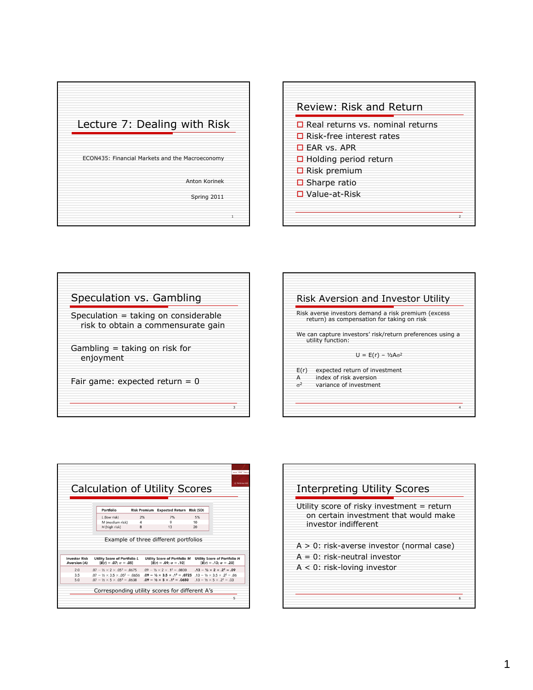









| Utility score of risky investment = return<br>on certain investment that would make<br>investor indifferent |  |
|-------------------------------------------------------------------------------------------------------------|--|
|                                                                                                             |  |
| $A > 0$ : risk-averse investor (normal case)<br>$A = 0$ : risk-neutral investor                             |  |
| $A < 0$ : risk-loving investor                                                                              |  |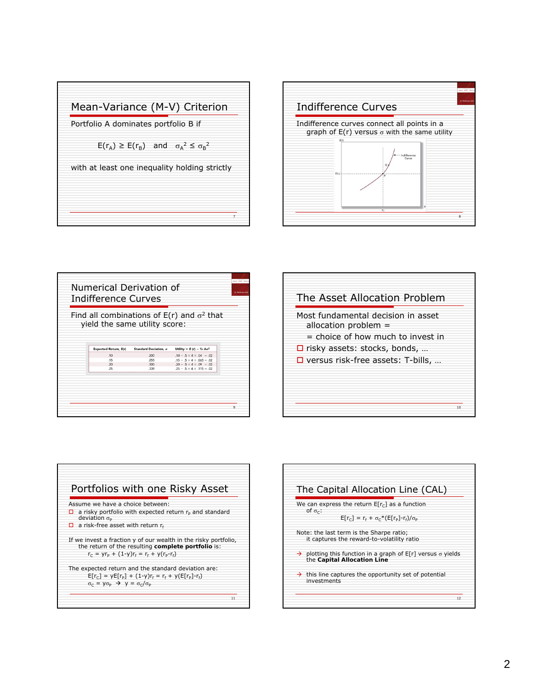



| <b>Indifference Curves</b>    |                        |                                                     |  |  |  |
|-------------------------------|------------------------|-----------------------------------------------------|--|--|--|
|                               |                        | Find all combinations of $E(r)$ and $\sigma^2$ that |  |  |  |
| yield the same utility score: |                        |                                                     |  |  |  |
|                               |                        |                                                     |  |  |  |
| Expected Return, E(r)         | Standard Deviation, or | Utility = $E(r) - \frac{1}{2} A \sigma^2$           |  |  |  |
| .10                           | .200                   | $.10 - .5 \times 4 \times .04 = .02$                |  |  |  |
|                               | .255                   | $.15 - .5 \times 4 \times .065 = .02$               |  |  |  |
| .15                           |                        | $.20 - .5 \times 4 \times .09 = .02$                |  |  |  |
| .20                           | .300                   |                                                     |  |  |  |
| .25                           | .339                   | $.25 - .5 \times 4 \times .115 = .02$               |  |  |  |
|                               |                        |                                                     |  |  |  |
|                               |                        |                                                     |  |  |  |
|                               |                        |                                                     |  |  |  |
|                               |                        |                                                     |  |  |  |